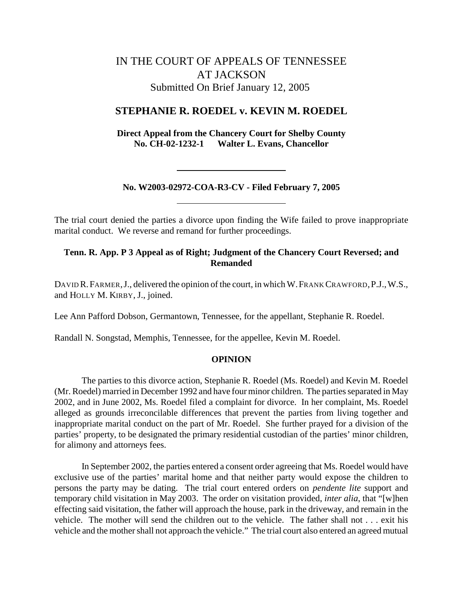# IN THE COURT OF APPEALS OF TENNESSEE AT JACKSON Submitted On Brief January 12, 2005

# **STEPHANIE R. ROEDEL v. KEVIN M. ROEDEL**

**Direct Appeal from the Chancery Court for Shelby County No. CH-02-1232-1 Walter L. Evans, Chancellor**

# **No. W2003-02972-COA-R3-CV - Filed February 7, 2005**

The trial court denied the parties a divorce upon finding the Wife failed to prove inappropriate marital conduct. We reverse and remand for further proceedings.

# **Tenn. R. App. P 3 Appeal as of Right; Judgment of the Chancery Court Reversed; and Remanded**

DAVID R.FARMER,J., delivered the opinion of the court, in which W.FRANK CRAWFORD,P.J.,W.S., and HOLLY M. KIRBY, J., joined.

Lee Ann Pafford Dobson, Germantown, Tennessee, for the appellant, Stephanie R. Roedel.

Randall N. Songstad, Memphis, Tennessee, for the appellee, Kevin M. Roedel.

#### **OPINION**

The parties to this divorce action, Stephanie R. Roedel (Ms. Roedel) and Kevin M. Roedel (Mr. Roedel) married in December 1992 and have four minor children. The parties separated in May 2002, and in June 2002, Ms. Roedel filed a complaint for divorce. In her complaint, Ms. Roedel alleged as grounds irreconcilable differences that prevent the parties from living together and inappropriate marital conduct on the part of Mr. Roedel. She further prayed for a division of the parties' property, to be designated the primary residential custodian of the parties' minor children, for alimony and attorneys fees.

In September 2002, the parties entered a consent order agreeing that Ms. Roedel would have exclusive use of the parties' marital home and that neither party would expose the children to persons the party may be dating. The trial court entered orders on *pendente lite* support and temporary child visitation in May 2003. The order on visitation provided, *inter alia*, that "[w]hen effecting said visitation, the father will approach the house, park in the driveway, and remain in the vehicle. The mother will send the children out to the vehicle. The father shall not . . . exit his vehicle and the mother shall not approach the vehicle." The trial court also entered an agreed mutual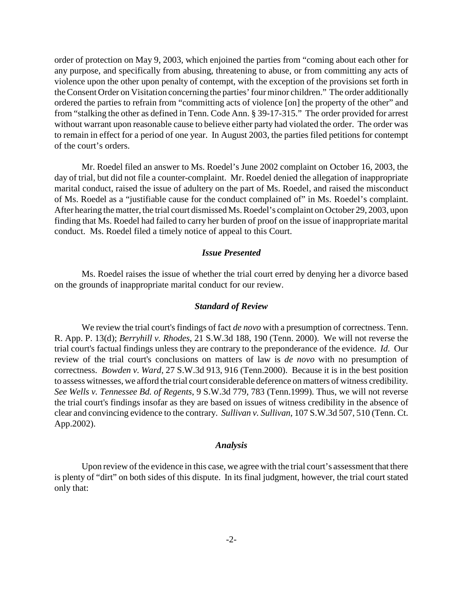order of protection on May 9, 2003, which enjoined the parties from "coming about each other for any purpose, and specifically from abusing, threatening to abuse, or from committing any acts of violence upon the other upon penalty of contempt, with the exception of the provisions set forth in the Consent Order on Visitation concerning the parties' four minor children." The order additionally ordered the parties to refrain from "committing acts of violence [on] the property of the other" and from "stalking the other as defined in Tenn. Code Ann. § 39-17-315." The order provided for arrest without warrant upon reasonable cause to believe either party had violated the order. The order was to remain in effect for a period of one year. In August 2003, the parties filed petitions for contempt of the court's orders.

Mr. Roedel filed an answer to Ms. Roedel's June 2002 complaint on October 16, 2003, the day of trial, but did not file a counter-complaint. Mr. Roedel denied the allegation of inappropriate marital conduct, raised the issue of adultery on the part of Ms. Roedel, and raised the misconduct of Ms. Roedel as a "justifiable cause for the conduct complained of" in Ms. Roedel's complaint. After hearing the matter, the trial court dismissed Ms. Roedel's complaint on October 29, 2003, upon finding that Ms. Roedel had failed to carry her burden of proof on the issue of inappropriate marital conduct. Ms. Roedel filed a timely notice of appeal to this Court.

#### *Issue Presented*

Ms. Roedel raises the issue of whether the trial court erred by denying her a divorce based on the grounds of inappropriate marital conduct for our review.

#### *Standard of Review*

We review the trial court's findings of fact *de novo* with a presumption of correctness. Tenn. R. App. P. 13(d); *Berryhill v. Rhodes*, 21 S.W.3d 188, 190 (Tenn. 2000). We will not reverse the trial court's factual findings unless they are contrary to the preponderance of the evidence. *Id.* Our review of the trial court's conclusions on matters of law is *de novo* with no presumption of correctness. *Bowden v. Ward*, 27 S.W.3d 913, 916 (Tenn.2000). Because it is in the best position to assess witnesses, we afford the trial court considerable deference on matters of witness credibility*. See Wells v. Tennessee Bd. of Regents*, 9 S.W.3d 779, 783 (Tenn.1999). Thus, we will not reverse the trial court's findings insofar as they are based on issues of witness credibility in the absence of clear and convincing evidence to the contrary. *Sullivan v. Sullivan*, 107 S.W.3d 507, 510 (Tenn. Ct. App.2002).

### *Analysis*

Upon review of the evidence in this case, we agree with the trial court's assessment that there is plenty of "dirt" on both sides of this dispute. In its final judgment, however, the trial court stated only that: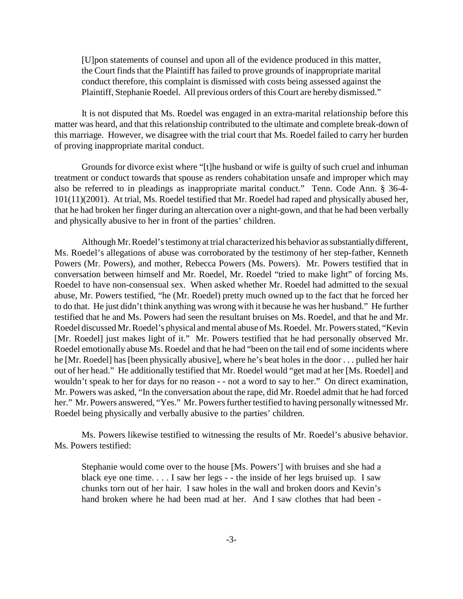[U]pon statements of counsel and upon all of the evidence produced in this matter, the Court finds that the Plaintiff has failed to prove grounds of inappropriate marital conduct therefore, this complaint is dismissed with costs being assessed against the Plaintiff, Stephanie Roedel. All previous orders of this Court are hereby dismissed."

It is not disputed that Ms. Roedel was engaged in an extra-marital relationship before this matter was heard, and that this relationship contributed to the ultimate and complete break-down of this marriage. However, we disagree with the trial court that Ms. Roedel failed to carry her burden of proving inappropriate marital conduct.

Grounds for divorce exist where "[t]he husband or wife is guilty of such cruel and inhuman treatment or conduct towards that spouse as renders cohabitation unsafe and improper which may also be referred to in pleadings as inappropriate marital conduct." Tenn. Code Ann. § 36-4- 101(11)(2001). At trial, Ms. Roedel testified that Mr. Roedel had raped and physically abused her, that he had broken her finger during an altercation over a night-gown, and that he had been verbally and physically abusive to her in front of the parties' children.

Although Mr. Roedel's testimony at trial characterized his behavior as substantially different, Ms. Roedel's allegations of abuse was corroborated by the testimony of her step-father, Kenneth Powers (Mr. Powers), and mother, Rebecca Powers (Ms. Powers). Mr. Powers testified that in conversation between himself and Mr. Roedel, Mr. Roedel "tried to make light" of forcing Ms. Roedel to have non-consensual sex. When asked whether Mr. Roedel had admitted to the sexual abuse, Mr. Powers testified, "he (Mr. Roedel) pretty much owned up to the fact that he forced her to do that. He just didn't think anything was wrong with it because he was her husband." He further testified that he and Ms. Powers had seen the resultant bruises on Ms. Roedel, and that he and Mr. Roedel discussed Mr. Roedel's physical and mental abuse of Ms. Roedel. Mr. Powers stated, "Kevin [Mr. Roedel] just makes light of it." Mr. Powers testified that he had personally observed Mr. Roedel emotionally abuse Ms. Roedel and that he had "been on the tail end of some incidents where he [Mr. Roedel] has [been physically abusive], where he's beat holes in the door . . . pulled her hair out of her head." He additionally testified that Mr. Roedel would "get mad at her [Ms. Roedel] and wouldn't speak to her for days for no reason - - not a word to say to her." On direct examination, Mr. Powers was asked, "In the conversation about the rape, did Mr. Roedel admit that he had forced her." Mr. Powers answered, "Yes." Mr. Powers further testified to having personally witnessed Mr. Roedel being physically and verbally abusive to the parties' children.

Ms. Powers likewise testified to witnessing the results of Mr. Roedel's abusive behavior. Ms. Powers testified:

Stephanie would come over to the house [Ms. Powers'] with bruises and she had a black eye one time. . . . I saw her legs - - the inside of her legs bruised up. I saw chunks torn out of her hair. I saw holes in the wall and broken doors and Kevin's hand broken where he had been mad at her. And I saw clothes that had been -